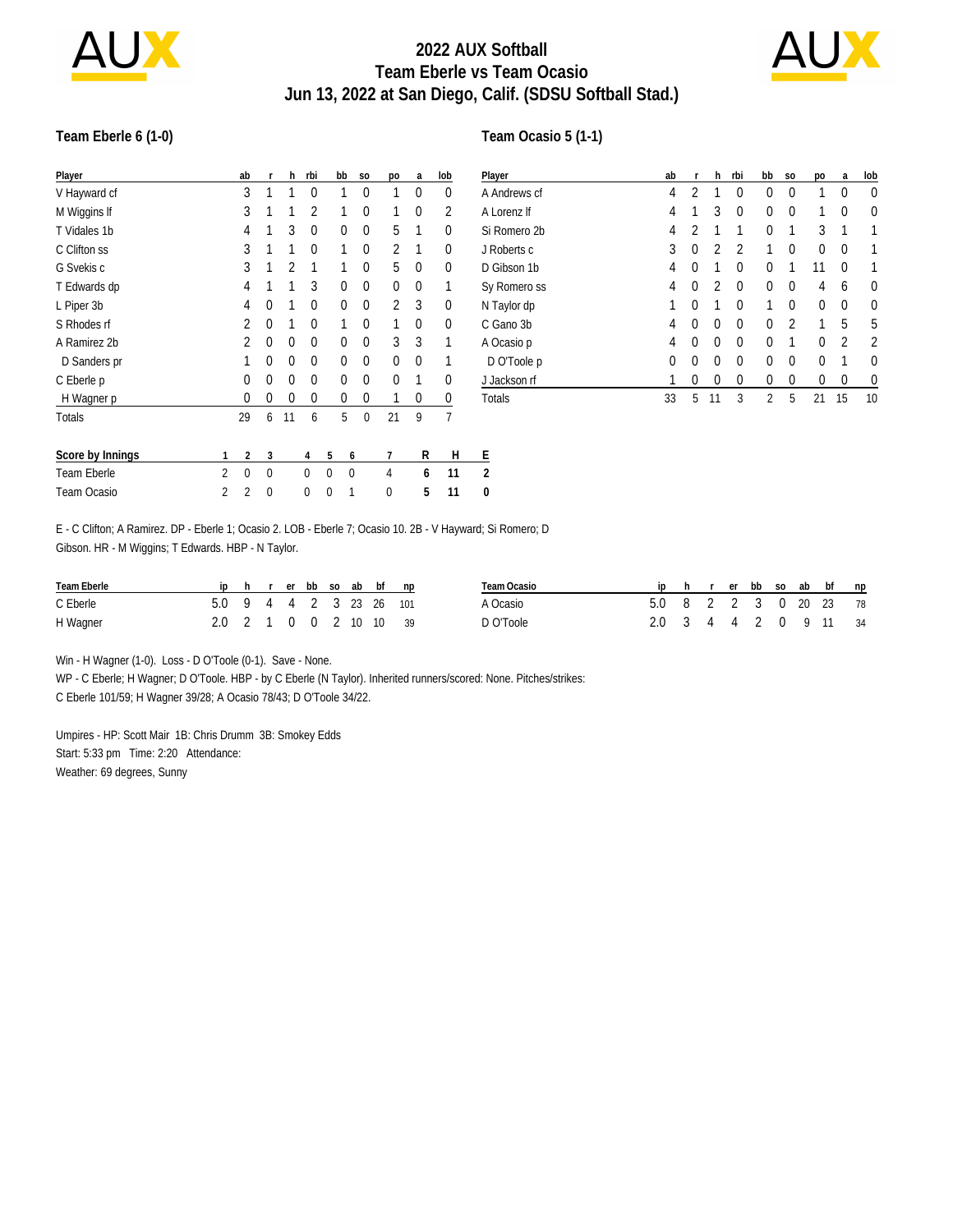

# **2022 AUX Softball Team Eberle vs Team Ocasio Jun 13, 2022 at San Diego, Calif. (SDSU Softball Stad.)**



#### **Team Eberle 6 (1-0)**

#### **Team Ocasio 5 (1-1)**

| Player           |   | ab             | r        | h  | rbi            |   | bb       | S <sub>O</sub> | po       | a | lob | P |
|------------------|---|----------------|----------|----|----------------|---|----------|----------------|----------|---|-----|---|
| V Hayward cf     |   | 3              | 1        | 1  | $\theta$       |   | 1        | 0              |          | 0 | 0   | A |
| M Wiggins If     |   | 3              | 1        |    | $\overline{2}$ |   | 1        | $\Omega$       | 1        | 0 | 2   | Α |
| T Vidales 1b     |   | 4              | 1        | 3  | 0              |   | 0        | 0              | 5        | 1 | 0   | S |
| C Clifton ss     |   | 3              | 1        | 1  | $\Omega$       |   | 1        | $\Omega$       | 2        | 1 | 0   | J |
| G Svekis c       |   | 3              | 1        | 2  | 1              |   | 1        | $\Omega$       | 5        | 0 | 0   | D |
| T Edwards dp     |   | 4              | 1        | 1  | 3              |   | $\theta$ | $\mathbf 0$    | $\Omega$ | 0 | 1   | S |
| L Piper 3b       |   | 4              | 0        | 1  | $\theta$       |   | $\theta$ | 0              | 2        | 3 | 0   | N |
| S Rhodes rf      |   | 2              | 0        | 1  | $\theta$       |   | 1        | $\Omega$       | 1        | 0 | 0   | С |
| A Ramirez 2b     |   | $\mathfrak{p}$ | 0        | 0  | $\theta$       |   | $\theta$ | $\Omega$       | 3        | 3 | 1   | A |
| D Sanders pr     |   | 1              | 0        | 0  | $\theta$       |   | $\theta$ | $\Omega$       | 0        | 0 | 1   |   |
| C Eberle p       |   | 0              | 0        | 0  | $\theta$       |   | 0        | $\Omega$       | 0        | 1 | 0   | ⊥ |
| H Wagner p       |   | 0              | 0        | 0  | 0              |   | 0        | 0              | 1        | 0 | 0   | T |
| Totals           |   | 29             | 6        | 11 | 6              |   | 5        | 0              | 21       | 9 | 7   |   |
| Score by Innings | 1 | 2              | 3        |    | 4              | 5 | 6        |                | 7        | R | Н   | E |
| Team Eberle      | 2 | 0              | $\Omega$ |    | 0              | 0 | 0        |                | 4        | 6 | 11  | 2 |
| Team Ocasio      | 2 | 2              | 0        |    | 0              | 0 | 1        |                | 0        | 5 | 11  | 0 |

| Player       | ab | r              | h        | rbi      | bb       | S <sub>0</sub> | po | a        | lob      |
|--------------|----|----------------|----------|----------|----------|----------------|----|----------|----------|
| A Andrews cf | 4  | 2              | 1        | 0        | 0        | 0              | 1  | $\Omega$ | $\theta$ |
| A Lorenz If  | 4  | 1              | 3        | 0        | $\Omega$ | 0              | 1  | $\Omega$ | 0        |
| Si Romero 2b | 4  | $\overline{2}$ | 1        | 1        | 0        | 1              | 3  | 1        |          |
| J Roberts c  | 3  | $\Omega$       | 2        | 2        | 1        | 0              | 0  | 0        |          |
| D Gibson 1b  | 4  | $\Omega$       | 1        | 0        | 0        | 1              | 11 | $\Omega$ |          |
| Sy Romero ss | 4  | $\Omega$       | 2        | $\Omega$ | 0        | 0              | 4  | 6        | 0        |
| N Taylor dp  |    | 0              | 1        | 0        | 1        | 0              | 0  | 0        | 0        |
| C Gano 3b    | 4  | 0              | 0        | 0        | 0        | $\overline{2}$ | 1  | 5        | 5        |
| A Ocasio p   | 4  | $\Omega$       | $\theta$ | $\Omega$ | 0        | 1              | 0  | 2        | 2        |
| D O'Toole p  | 0  | $\Omega$       | $\theta$ | 0        | 0        | 0              | 0  |          | 0        |
| J Jackson rf | 1  | 0              | 0        | 0        | 0        | 0              | 0  | $\Omega$ | 0        |
| Totals       | 33 | 5              | 11       | 3        | 2        | 5              | 21 | 15       | 10       |

E - C Clifton; A Ramirez. DP - Eberle 1; Ocasio 2. LOB - Eberle 7; Ocasio 10. 2B - V Hayward; Si Romero; D Gibson. HR - M Wiggins; T Edwards. HBP - N Taylor.

| Team Eberle |                         |  |  |  | ip h r er bb so ab bf np | Team Ocasio |                        |  |  |  | ip h r er bb so ab bf np |  |
|-------------|-------------------------|--|--|--|--------------------------|-------------|------------------------|--|--|--|--------------------------|--|
| C Eberle    | 5.0 9 4 4 2 3 23 26 101 |  |  |  |                          | A Ocasio    | 5.0 8 2 2 3 0 20 23 78 |  |  |  |                          |  |
| H Wagner    | 2.0 2 1 0 0 2 10 10 39  |  |  |  |                          | D O'Toole   | 2.0 3 4 4 2 0 9 11 34  |  |  |  |                          |  |

Win - H Wagner (1-0). Loss - D O'Toole (0-1). Save - None.

WP - C Eberle; H Wagner; D O'Toole. HBP - by C Eberle (N Taylor). Inherited runners/scored: None. Pitches/strikes: C Eberle 101/59; H Wagner 39/28; A Ocasio 78/43; D O'Toole 34/22.

Umpires - HP: Scott Mair 1B: Chris Drumm 3B: Smokey Edds Start: 5:33 pm Time: 2:20 Attendance: Weather: 69 degrees, Sunny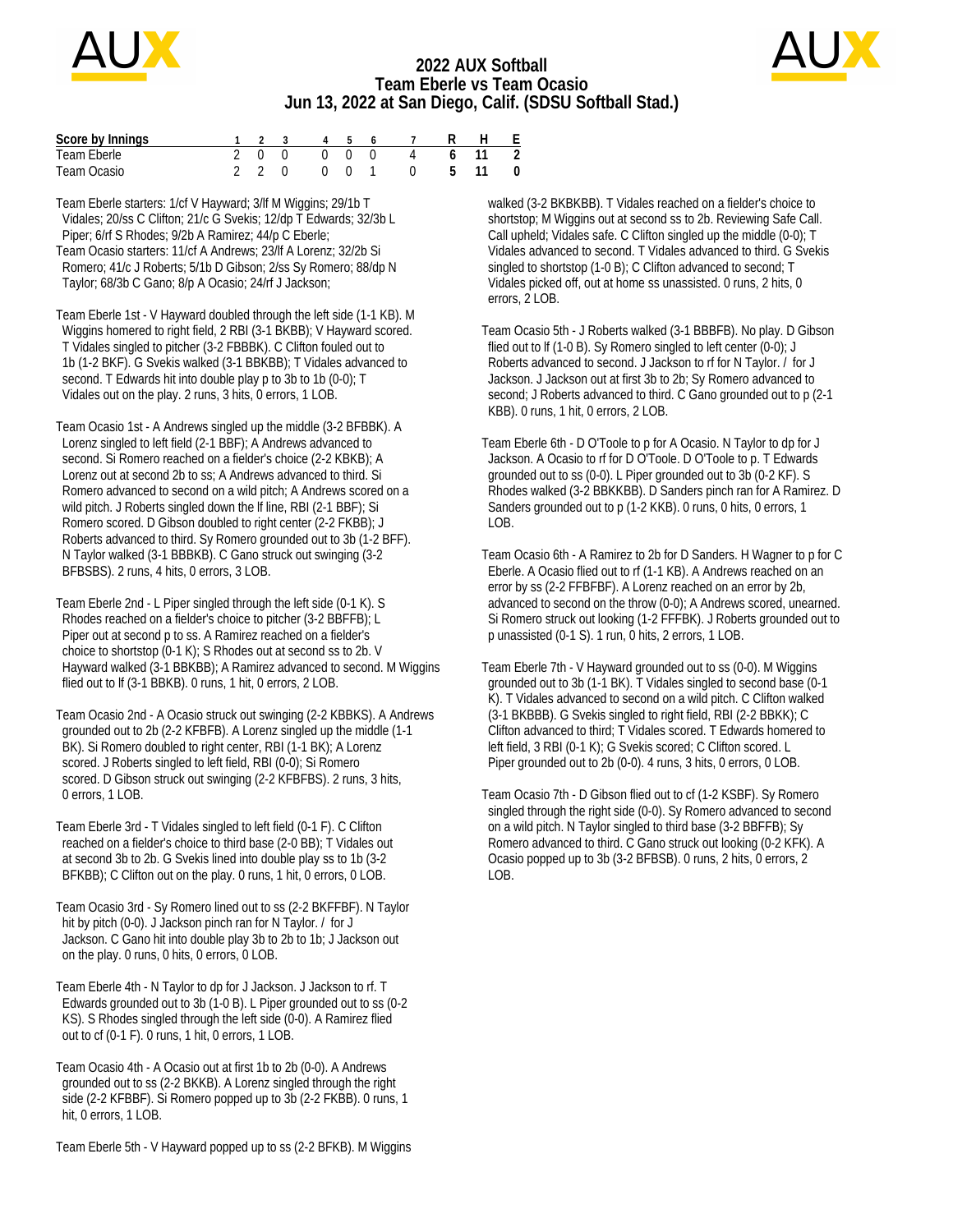

## **2022 AUX Softball Team Eberle vs Team Ocasio Jun 13, 2022 at San Diego, Calif. (SDSU Softball Stad.)**



| Score by Innings |  |  |  | 1 2 3 4 5 6 7 R H F  |  |  |
|------------------|--|--|--|----------------------|--|--|
| Team Eberle      |  |  |  | 2 0 0 0 0 0 4 6 11 2 |  |  |
| Team Ocasio      |  |  |  | 2 2 0 0 0 1 0 5 11 0 |  |  |

Team Eberle starters: 1/cf V Hayward; 3/lf M Wiggins; 29/1b T Vidales; 20/ss C Clifton; 21/c G Svekis; 12/dp T Edwards; 32/3b L Piper; 6/rf S Rhodes; 9/2b A Ramirez; 44/p C Eberle; Team Ocasio starters: 11/cf A Andrews; 23/lf A Lorenz; 32/2b Si Romero; 41/c J Roberts; 5/1b D Gibson; 2/ss Sy Romero; 88/dp N Taylor; 68/3b C Gano; 8/p A Ocasio; 24/rf J Jackson;

Team Eberle 1st - V Hayward doubled through the left side (1-1 KB). M Wiggins homered to right field, 2 RBI (3-1 BKBB); V Hayward scored. T Vidales singled to pitcher (3-2 FBBBK). C Clifton fouled out to 1b (1-2 BKF). G Svekis walked (3-1 BBKBB); T Vidales advanced to second. T Edwards hit into double play p to 3b to 1b (0-0); T Vidales out on the play. 2 runs, 3 hits, 0 errors, 1 LOB.

Team Ocasio 1st - A Andrews singled up the middle (3-2 BFBBK). A Lorenz singled to left field (2-1 BBF); A Andrews advanced to second. Si Romero reached on a fielder's choice (2-2 KBKB); A Lorenz out at second 2b to ss; A Andrews advanced to third. Si Romero advanced to second on a wild pitch; A Andrews scored on a wild pitch. J Roberts singled down the lf line, RBI (2-1 BBF); Si Romero scored. D Gibson doubled to right center (2-2 FKBB); J Roberts advanced to third. Sy Romero grounded out to 3b (1-2 BFF). N Taylor walked (3-1 BBBKB). C Gano struck out swinging (3-2 BFBSBS). 2 runs, 4 hits, 0 errors, 3 LOB.

Team Eberle 2nd - L Piper singled through the left side (0-1 K). S Rhodes reached on a fielder's choice to pitcher (3-2 BBFFB); L Piper out at second p to ss. A Ramirez reached on a fielder's choice to shortstop (0-1 K); S Rhodes out at second ss to 2b. V Hayward walked (3-1 BBKBB); A Ramirez advanced to second. M Wiggins flied out to lf (3-1 BBKB). 0 runs, 1 hit, 0 errors, 2 LOB.

Team Ocasio 2nd - A Ocasio struck out swinging (2-2 KBBKS). A Andrews grounded out to 2b (2-2 KFBFB). A Lorenz singled up the middle (1-1 BK). Si Romero doubled to right center, RBI (1-1 BK); A Lorenz scored. J Roberts singled to left field, RBI (0-0); Si Romero scored. D Gibson struck out swinging (2-2 KFBFBS). 2 runs, 3 hits, 0 errors, 1 LOB.

Team Eberle 3rd - T Vidales singled to left field (0-1 F). C Clifton reached on a fielder's choice to third base (2-0 BB); T Vidales out at second 3b to 2b. G Svekis lined into double play ss to 1b (3-2 BFKBB); C Clifton out on the play. 0 runs, 1 hit, 0 errors, 0 LOB.

Team Ocasio 3rd - Sy Romero lined out to ss (2-2 BKFFBF). N Taylor hit by pitch (0-0). J Jackson pinch ran for N Taylor. / for J Jackson. C Gano hit into double play 3b to 2b to 1b; J Jackson out on the play. 0 runs, 0 hits, 0 errors, 0 LOB.

Team Eberle 4th - N Taylor to dp for J Jackson. J Jackson to rf. T Edwards grounded out to 3b (1-0 B). L Piper grounded out to ss (0-2 KS). S Rhodes singled through the left side (0-0). A Ramirez flied out to cf (0-1 F). 0 runs, 1 hit, 0 errors, 1 LOB.

Team Ocasio 4th - A Ocasio out at first 1b to 2b (0-0). A Andrews grounded out to ss (2-2 BKKB). A Lorenz singled through the right side (2-2 KFBBF). Si Romero popped up to 3b (2-2 FKBB). 0 runs, 1 hit, 0 errors, 1 LOB.

Team Eberle 5th - V Hayward popped up to ss (2-2 BFKB). M Wiggins

 walked (3-2 BKBKBB). T Vidales reached on a fielder's choice to shortstop; M Wiggins out at second ss to 2b. Reviewing Safe Call. Call upheld; Vidales safe. C Clifton singled up the middle (0-0); T Vidales advanced to second. T Vidales advanced to third. G Svekis singled to shortstop (1-0 B); C Clifton advanced to second; T Vidales picked off, out at home ss unassisted. 0 runs, 2 hits, 0 errors, 2 LOB.

Team Ocasio 5th - J Roberts walked (3-1 BBBFB). No play. D Gibson flied out to lf (1-0 B). Sy Romero singled to left center (0-0); J Roberts advanced to second. J Jackson to rf for N Taylor. / for J Jackson. J Jackson out at first 3b to 2b; Sy Romero advanced to second; J Roberts advanced to third. C Gano grounded out to p (2-1 KBB). 0 runs, 1 hit, 0 errors, 2 LOB.

Team Eberle 6th - D O'Toole to p for A Ocasio. N Taylor to dp for J Jackson. A Ocasio to rf for D O'Toole. D O'Toole to p. T Edwards grounded out to ss (0-0). L Piper grounded out to 3b (0-2 KF). S Rhodes walked (3-2 BBKKBB). D Sanders pinch ran for A Ramirez. D Sanders grounded out to p (1-2 KKB). 0 runs, 0 hits, 0 errors, 1  $LOB.$ 

Team Ocasio 6th - A Ramirez to 2b for D Sanders. H Wagner to p for C Eberle. A Ocasio flied out to rf (1-1 KB). A Andrews reached on an error by ss (2-2 FFBFBF). A Lorenz reached on an error by 2b, advanced to second on the throw (0-0); A Andrews scored, unearned. Si Romero struck out looking (1-2 FFFBK). J Roberts grounded out to p unassisted (0-1 S). 1 run, 0 hits, 2 errors, 1 LOB.

Team Eberle 7th - V Hayward grounded out to ss (0-0). M Wiggins grounded out to 3b (1-1 BK). T Vidales singled to second base (0-1 K). T Vidales advanced to second on a wild pitch. C Clifton walked (3-1 BKBBB). G Svekis singled to right field, RBI (2-2 BBKK); C Clifton advanced to third; T Vidales scored. T Edwards homered to left field, 3 RBI (0-1 K); G Svekis scored; C Clifton scored. L Piper grounded out to 2b (0-0). 4 runs, 3 hits, 0 errors, 0 LOB.

Team Ocasio 7th - D Gibson flied out to cf (1-2 KSBF). Sy Romero singled through the right side (0-0). Sy Romero advanced to second on a wild pitch. N Taylor singled to third base (3-2 BBFFB); Sy Romero advanced to third. C Gano struck out looking (0-2 KFK). A Ocasio popped up to 3b (3-2 BFBSB). 0 runs, 2 hits, 0 errors, 2 LOB.